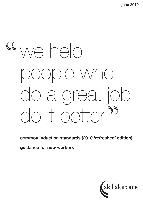# we help people who do a great job do it better<sup>99</sup>

common induction standards (2010 'refreshed' edition)

guidance for new workers

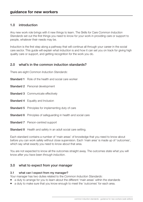## 1.0 introduction

Any new work role brings with it new things to learn. The Skills for Care *Common Induction Standards* set out the first things you need to know for your work in providing care or support to people, whatever their needs may be.

Induction is the first step along a pathway that will continue all through your career in the social care sector. This guide will explain what induction is and how it can set you on track for giving high quality care or support, and getting recognition for the work you do.

## 2.0 what's in the common induction standards?

There are eight *Common Induction Standards*:

| <b>Standard 1</b> Role of the health and social care worker            |
|------------------------------------------------------------------------|
| <b>Standard 2</b> Personal development                                 |
| <b>Standard 3</b> Communicate effectively                              |
| <b>Standard 4</b> Equality and Inclusion                               |
| <b>Standard 5</b> Principles for implementing duty of care             |
| <b>Standard 6</b> Principles of safeguarding in health and social care |
| <b>Standard 7</b> Person-centred support                               |
| <b>Standard 8</b> Health and safety in an adult social care setting.   |

Each standard contains a number of 'main areas' of knowledge that you need to know about before you can work safely without close supervision. Each 'main area' is made up of 'outcomes', which say what exactly you need to know about that area.

You are not expected to know all the outcomes straight away. The outcomes state what you will know *after you have been through induction*.

## 3.0 what to expect from your manager

#### 3.1 what can I expect from my manager?

Your manager has two duties related to the *Common Induction Standards*:

- a duty to arrange for you to learn about the different 'main areas' within the standards
- a duty to make sure that you know enough to meet the 'outcomes' for each area.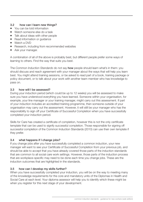### 3.2 how can I learn new things?

- You can be told information
- Watch someone else do a task
- Talk about ideas with other people
- Read information or guidance
- Watch a DVD
- Research, including from recommended websites
- Ask your manager.

A combination of all of the above is probably best, but different people prefer some ways of learning to others. Find the way that suits you best.

The *Common Induction Standards* do not say how people should learn what's in them: you should discuss and reach agreement with your manager about the ways that will help you learn best. You might attend training sessions, or be asked to read part of a book, training package or policy document, or to talk about your work with another team member who has knowledge to pass on.

### 3.3 how will I be assessed?

During your induction period (which could be up to 12 weeks) you will be assessed to make sure you have understood everything you have learned. Someone within your organisation, for example, your line manager or your training manager, might carry out this assessment. If part of your induction includes an accredited training programme, then someone outside of your organisation may carry out the assessment. However, it will still be your manager who has the responsibility to sign off your Certificate of Successful Completion when you have successfully completed your induction period.

Skills for Care has created a certificate of completion, however this is not the only certificate template that can be used to signify successful completion. Those responsible for signing off successful completion of the Common Induction Standards (2010) can use their own template if they prefer.

### 3.4 what happens if I change jobs?

If you change jobs after you have successfully completed a common induction, your new manager will want to see your Certificate of Successful Completion from your previous job, and should be able to accept that you have already covered those parts of the induction standards that are common to all social care work settings. However, those parts of the induction process that are workplace-specific may need to be done each time you change jobs. These are the induction outcomes that are highlighted in the standards.

### 3.5 how can I develop my skills further?

When you have successfully completed your induction, you will be on the way to meeting many of the knowledge requirements for the core and mandatory units of the Diplomas in Health and Social Care at each level. Your diploma assessor will help you to identify which these might be when you register for this next stage of your development.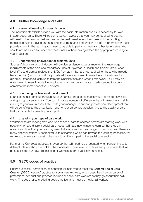# 4.0 further knowledge and skills

### 4.1 essential learning for specific tasks

The induction standards provide you with the basic information and skills necessary for work in adult social care. There will be some tasks, however, that you may be required to do, that will need further learning before they can be performed safely. Examples include handling medication, using moving and handling equipment and preparation of food. Your employer must provide you with the learning you need to be able to perform these and other tasks safely. You should not be asked to undertake these tasks without having added the appropriate learning to your induction.

### 4.2 underpinning knowledge for diploma units

Successful completion of induction will provide evidence towards meeting the knowledge requirements of the core and mandatory units of Diplomas in Health and Social Care at each level. (These diplomas replace the NVQs from 2011, but are not required for those who already have the NVQ.) Induction will not provide all the underpinning knowledge for the whole of a diploma. Other social care units from the Qualifications and Credit Framework (QCF) may be undertaken to meet knowledge requirements and/or performance criteria needed for you to complete the remainder of your diploma.

#### 4.3 continuing professional development

Learning should continue throughout your career, and should enable you to develop new skills, and open up career options. You can choose a number of different units of knowledge and skills relating to your role in consultation with your manager, to support professional development that will be beneficial to the organisation and to your career progression, and to the quality of care that you provide for people you support.

#### 4.4 changing your type of care work

Workers who are moving from one type of social care to another, or who are starting work with people who have different social care needs, will have new things to learn so that they can understand how their practice may need to be adapted to the changed circumstances. There are many optional nationally accredited units of learning which can provide the learning necessary for workers to make a successful change into a different part of the social care sector.

Parts of the *Common Induction Standards* that will need to be repeated when transferring to a different role are shown in **bold** in the standards. These refer to policies and procedures that will be specific to your new organisation or workplace, or to your own new role.

# 5.0 GSCC codes of practice

Finally, successful completion of induction will help you to meet the General Social Care Council (GSCC) code of practice for social care workers, which describes the standards of professional conduct and practice required of social care workers as they go about their daily work. This code reflects existing good practice, and must be met by all workers.